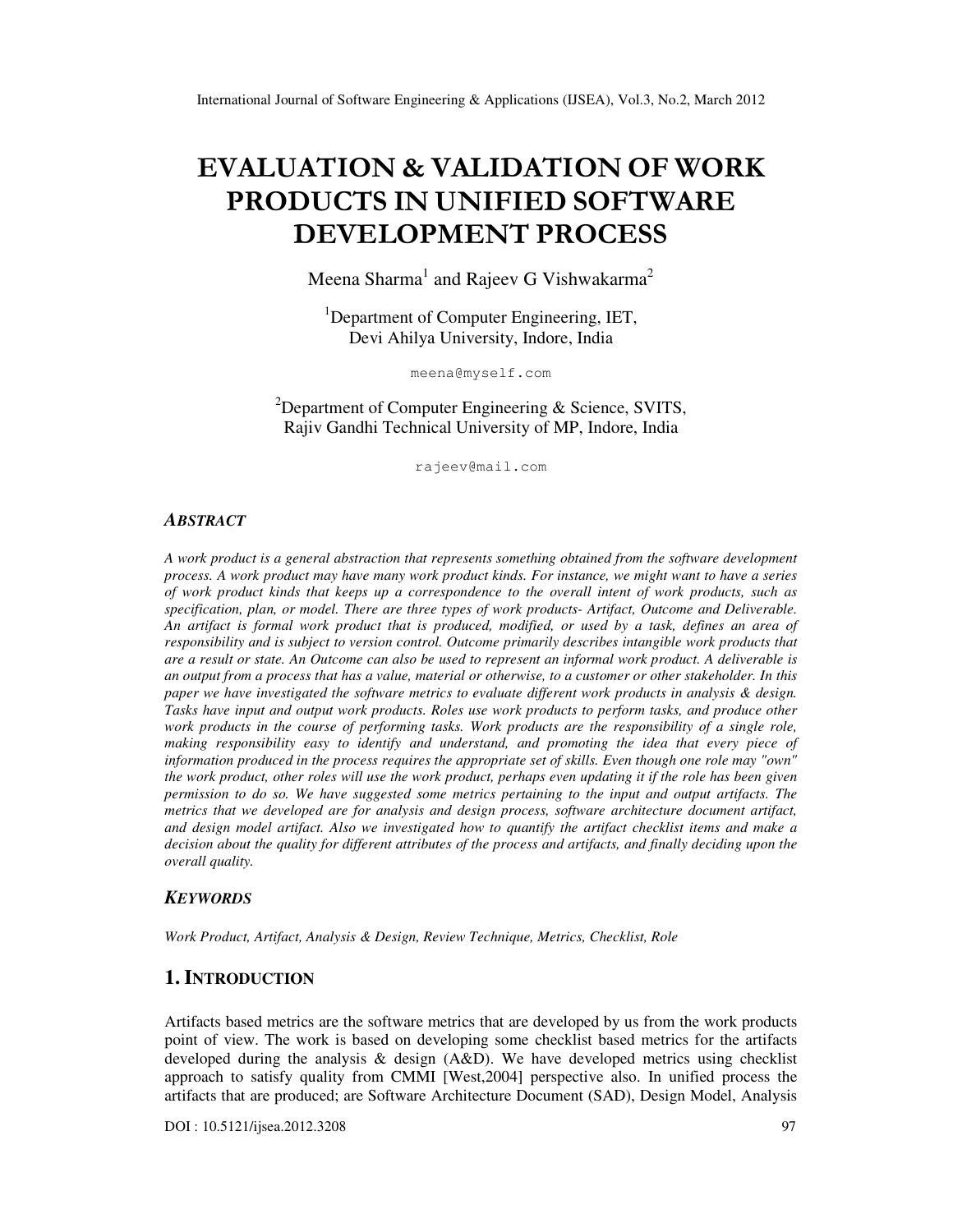# EVALUATION & VALIDATION OF WORK PRODUCTS IN UNIFIED SOFTWARE DEVELOPMENT PROCESS

Meena Sharma<sup>1</sup> and Rajeev G Vishwakarma<sup>2</sup>

<sup>1</sup>Department of Computer Engineering, IET, Devi Ahilya University, Indore, India

meena@myself.com

<sup>2</sup>Department of Computer Engineering  $\&$  Science, SVITS, Rajiv Gandhi Technical University of MP, Indore, India

rajeev@mail.com

#### *ABSTRACT*

*A work product is a general abstraction that represents something obtained from the software development process. A work product may have many work product kinds. For instance, we might want to have a series of work product kinds that keeps up a correspondence to the overall intent of work products, such as specification, plan, or model. There are three types of work products- Artifact, Outcome and Deliverable. An artifact is formal work product that is produced, modified, or used by a task, defines an area of responsibility and is subject to version control. Outcome primarily describes intangible work products that are a result or state. An Outcome can also be used to represent an informal work product. A deliverable is an output from a process that has a value, material or otherwise, to a customer or other stakeholder. In this paper we have investigated the software metrics to evaluate different work products in analysis & design. Tasks have input and output work products. Roles use work products to perform tasks, and produce other work products in the course of performing tasks. Work products are the responsibility of a single role, making responsibility easy to identify and understand, and promoting the idea that every piece of information produced in the process requires the appropriate set of skills. Even though one role may "own" the work product, other roles will use the work product, perhaps even updating it if the role has been given permission to do so. We have suggested some metrics pertaining to the input and output artifacts. The metrics that we developed are for analysis and design process, software architecture document artifact, and design model artifact. Also we investigated how to quantify the artifact checklist items and make a decision about the quality for different attributes of the process and artifacts, and finally deciding upon the overall quality.* 

#### *KEYWORDS*

*Work Product, Artifact, Analysis & Design, Review Technique, Metrics, Checklist, Role* 

## **1. INTRODUCTION**

Artifacts based metrics are the software metrics that are developed by us from the work products point of view. The work is based on developing some checklist based metrics for the artifacts developed during the analysis & design (A&D). We have developed metrics using checklist approach to satisfy quality from CMMI [West,2004] perspective also. In unified process the artifacts that are produced; are Software Architecture Document (SAD), Design Model, Analysis

DOI : 10.5121/ijsea.2012.3208 97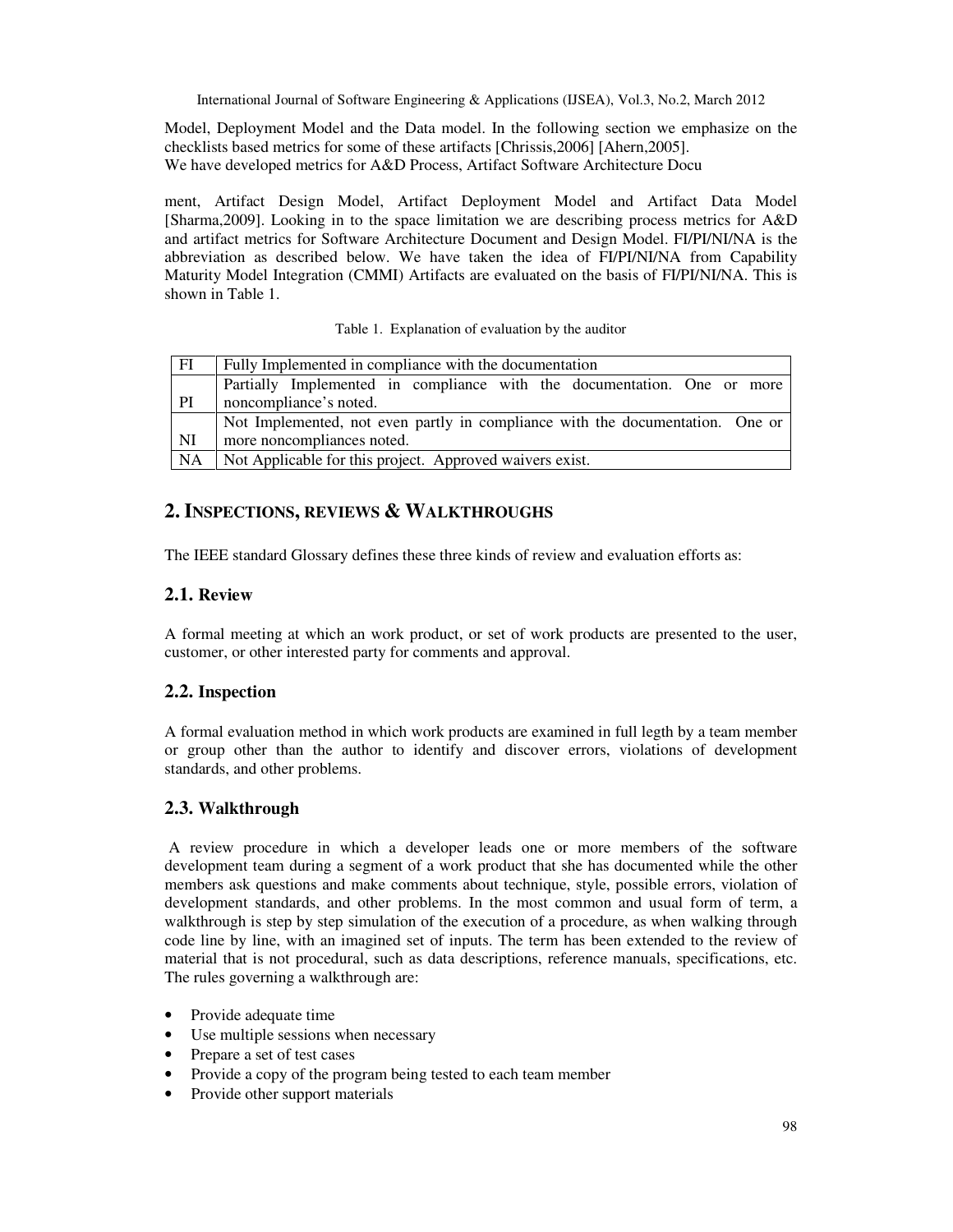Model, Deployment Model and the Data model. In the following section we emphasize on the checklists based metrics for some of these artifacts [Chrissis,2006] [Ahern,2005]. We have developed metrics for A&D Process, Artifact Software Architecture Docu

ment, Artifact Design Model, Artifact Deployment Model and Artifact Data Model [Sharma,2009]. Looking in to the space limitation we are describing process metrics for A&D and artifact metrics for Software Architecture Document and Design Model. FI/PI/NI/NA is the abbreviation as described below. We have taken the idea of FI/PI/NI/NA from Capability Maturity Model Integration (CMMI) Artifacts are evaluated on the basis of FI/PI/NI/NA. This is shown in Table 1.

Table 1. Explanation of evaluation by the auditor

| FI | Fully Implemented in compliance with the documentation                        |  |  |
|----|-------------------------------------------------------------------------------|--|--|
|    | Partially Implemented in compliance with the documentation. One or more       |  |  |
| PI | noncompliance's noted.                                                        |  |  |
|    | Not Implemented, not even partly in compliance with the documentation. One or |  |  |
| NI | more noncompliances noted.                                                    |  |  |
| NA | Not Applicable for this project. Approved waivers exist.                      |  |  |

# **2. INSPECTIONS, REVIEWS & WALKTHROUGHS**

The IEEE standard Glossary defines these three kinds of review and evaluation efforts as:

## **2.1. Review**

A formal meeting at which an work product, or set of work products are presented to the user, customer, or other interested party for comments and approval.

## **2.2. Inspection**

A formal evaluation method in which work products are examined in full legth by a team member or group other than the author to identify and discover errors, violations of development standards, and other problems.

## **2.3. Walkthrough**

A review procedure in which a developer leads one or more members of the software development team during a segment of a work product that she has documented while the other members ask questions and make comments about technique, style, possible errors, violation of development standards, and other problems. In the most common and usual form of term, a walkthrough is step by step simulation of the execution of a procedure, as when walking through code line by line, with an imagined set of inputs. The term has been extended to the review of material that is not procedural, such as data descriptions, reference manuals, specifications, etc. The rules governing a walkthrough are:

- Provide adequate time
- Use multiple sessions when necessary
- Prepare a set of test cases
- Provide a copy of the program being tested to each team member
- Provide other support materials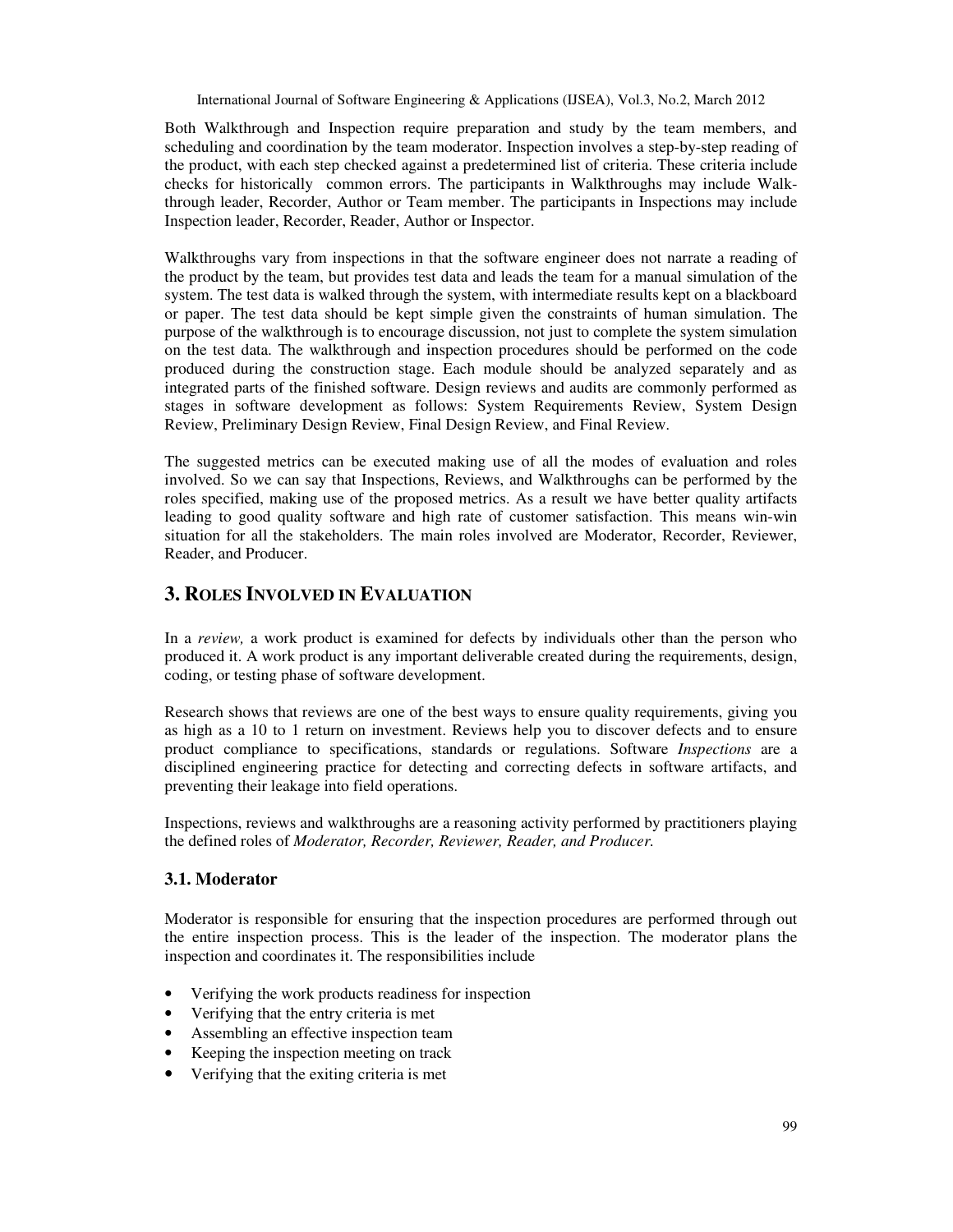Both Walkthrough and Inspection require preparation and study by the team members, and scheduling and coordination by the team moderator. Inspection involves a step-by-step reading of the product, with each step checked against a predetermined list of criteria. These criteria include checks for historically common errors. The participants in Walkthroughs may include Walkthrough leader, Recorder, Author or Team member. The participants in Inspections may include Inspection leader, Recorder, Reader, Author or Inspector.

Walkthroughs vary from inspections in that the software engineer does not narrate a reading of the product by the team, but provides test data and leads the team for a manual simulation of the system. The test data is walked through the system, with intermediate results kept on a blackboard or paper. The test data should be kept simple given the constraints of human simulation. The purpose of the walkthrough is to encourage discussion, not just to complete the system simulation on the test data. The walkthrough and inspection procedures should be performed on the code produced during the construction stage. Each module should be analyzed separately and as integrated parts of the finished software. Design reviews and audits are commonly performed as stages in software development as follows: System Requirements Review, System Design Review, Preliminary Design Review, Final Design Review, and Final Review.

The suggested metrics can be executed making use of all the modes of evaluation and roles involved. So we can say that Inspections, Reviews, and Walkthroughs can be performed by the roles specified, making use of the proposed metrics. As a result we have better quality artifacts leading to good quality software and high rate of customer satisfaction. This means win-win situation for all the stakeholders. The main roles involved are Moderator, Recorder, Reviewer, Reader, and Producer.

## **3. ROLES INVOLVED IN EVALUATION**

In a *review,* a work product is examined for defects by individuals other than the person who produced it. A work product is any important deliverable created during the requirements, design, coding, or testing phase of software development.

Research shows that reviews are one of the best ways to ensure quality requirements, giving you as high as a 10 to 1 return on investment. Reviews help you to discover defects and to ensure product compliance to specifications, standards or regulations. Software *Inspections* are a disciplined engineering practice for detecting and correcting defects in software artifacts, and preventing their leakage into field operations.

Inspections, reviews and walkthroughs are a reasoning activity performed by practitioners playing the defined roles of *Moderator, Recorder, Reviewer, Reader, and Producer.*

#### **3.1. Moderator**

Moderator is responsible for ensuring that the inspection procedures are performed through out the entire inspection process. This is the leader of the inspection. The moderator plans the inspection and coordinates it. The responsibilities include

- Verifying the work products readiness for inspection
- Verifying that the entry criteria is met
- Assembling an effective inspection team
- Keeping the inspection meeting on track
- Verifying that the exiting criteria is met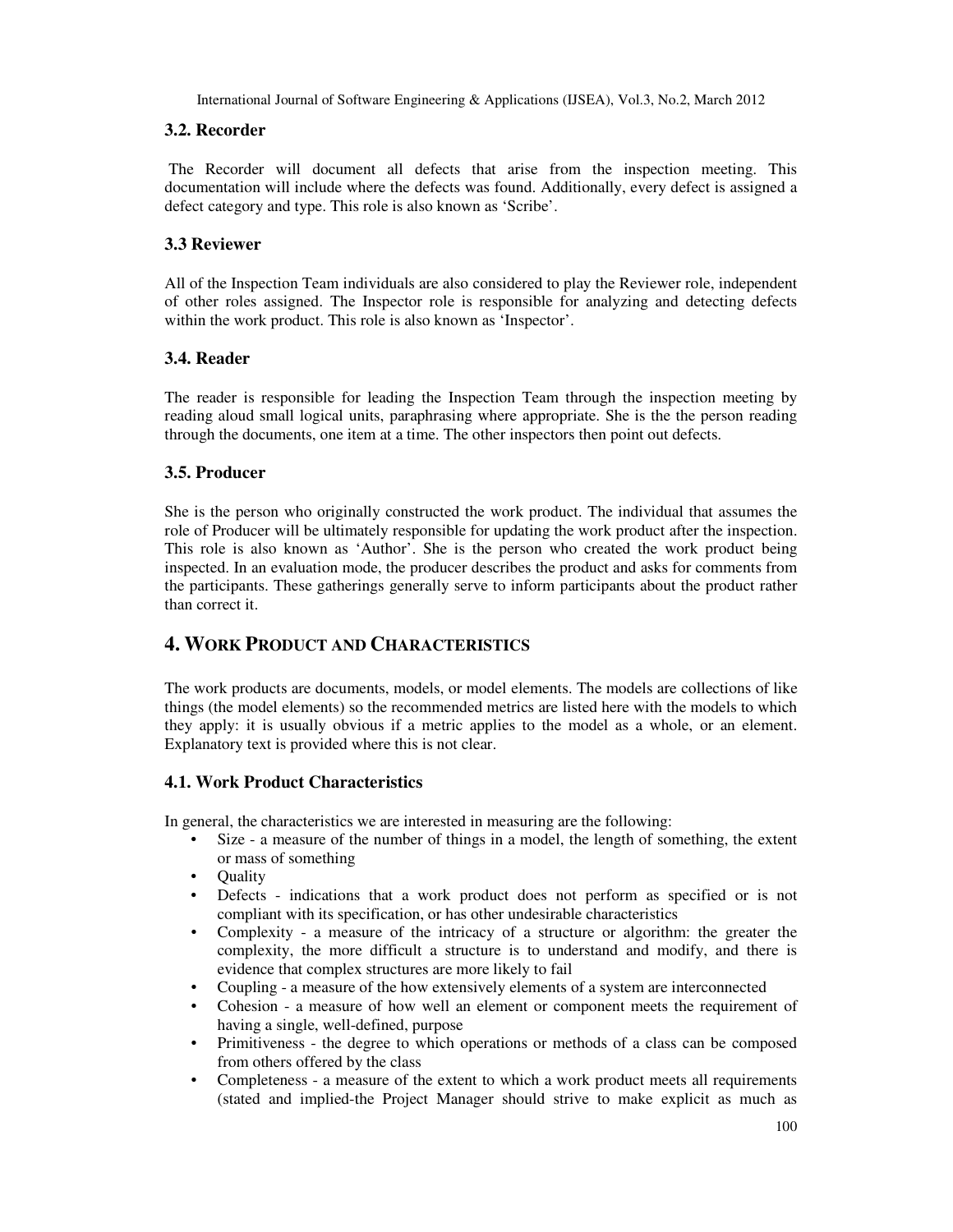## **3.2. Recorder**

 The Recorder will document all defects that arise from the inspection meeting. This documentation will include where the defects was found. Additionally, every defect is assigned a defect category and type. This role is also known as 'Scribe'.

## **3.3 Reviewer**

All of the Inspection Team individuals are also considered to play the Reviewer role, independent of other roles assigned. The Inspector role is responsible for analyzing and detecting defects within the work product. This role is also known as 'Inspector'.

## **3.4. Reader**

The reader is responsible for leading the Inspection Team through the inspection meeting by reading aloud small logical units, paraphrasing where appropriate. She is the the person reading through the documents, one item at a time. The other inspectors then point out defects.

## **3.5. Producer**

She is the person who originally constructed the work product. The individual that assumes the role of Producer will be ultimately responsible for updating the work product after the inspection. This role is also known as 'Author'. She is the person who created the work product being inspected. In an evaluation mode, the producer describes the product and asks for comments from the participants. These gatherings generally serve to inform participants about the product rather than correct it.

# **4. WORK PRODUCT AND CHARACTERISTICS**

The work products are documents, models, or model elements. The models are collections of like things (the model elements) so the recommended metrics are listed here with the models to which they apply: it is usually obvious if a metric applies to the model as a whole, or an element. Explanatory text is provided where this is not clear.

## **4.1. Work Product Characteristics**

In general, the characteristics we are interested in measuring are the following:

- Size a measure of the number of things in a model, the length of something, the extent or mass of something
- Quality
- Defects indications that a work product does not perform as specified or is not compliant with its specification, or has other undesirable characteristics
- Complexity a measure of the intricacy of a structure or algorithm: the greater the complexity, the more difficult a structure is to understand and modify, and there is evidence that complex structures are more likely to fail
- Coupling a measure of the how extensively elements of a system are interconnected
- Cohesion a measure of how well an element or component meets the requirement of having a single, well-defined, purpose
- Primitiveness the degree to which operations or methods of a class can be composed from others offered by the class
- Completeness a measure of the extent to which a work product meets all requirements (stated and implied-the Project Manager should strive to make explicit as much as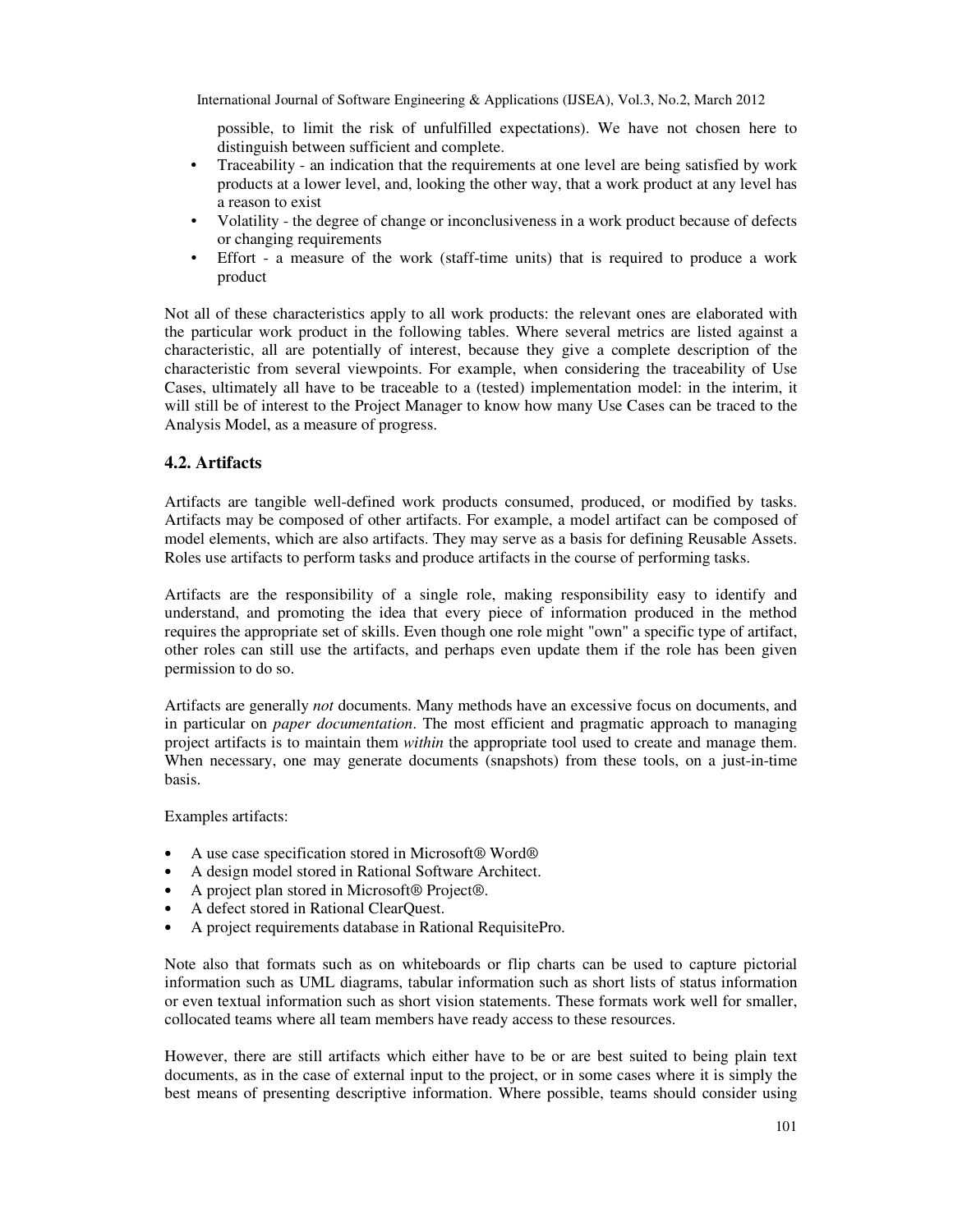possible, to limit the risk of unfulfilled expectations). We have not chosen here to distinguish between sufficient and complete.

- Traceability an indication that the requirements at one level are being satisfied by work products at a lower level, and, looking the other way, that a work product at any level has a reason to exist
- Volatility the degree of change or inconclusiveness in a work product because of defects or changing requirements
- Effort a measure of the work (staff-time units) that is required to produce a work product

Not all of these characteristics apply to all work products: the relevant ones are elaborated with the particular work product in the following tables. Where several metrics are listed against a characteristic, all are potentially of interest, because they give a complete description of the characteristic from several viewpoints. For example, when considering the traceability of Use Cases, ultimately all have to be traceable to a (tested) implementation model: in the interim, it will still be of interest to the Project Manager to know how many Use Cases can be traced to the Analysis Model, as a measure of progress.

## **4.2. Artifacts**

Artifacts are tangible well-defined work products consumed, produced, or modified by tasks. Artifacts may be composed of other artifacts. For example, a model artifact can be composed of model elements, which are also artifacts. They may serve as a basis for defining Reusable Assets. Roles use artifacts to perform tasks and produce artifacts in the course of performing tasks.

Artifacts are the responsibility of a single role, making responsibility easy to identify and understand, and promoting the idea that every piece of information produced in the method requires the appropriate set of skills. Even though one role might "own" a specific type of artifact, other roles can still use the artifacts, and perhaps even update them if the role has been given permission to do so.

Artifacts are generally *not* documents. Many methods have an excessive focus on documents, and in particular on *paper documentation*. The most efficient and pragmatic approach to managing project artifacts is to maintain them *within* the appropriate tool used to create and manage them. When necessary, one may generate documents (snapshots) from these tools, on a just-in-time basis.

Examples artifacts:

- A use case specification stored in Microsoft® Word®
- A design model stored in Rational Software Architect.
- A project plan stored in Microsoft® Project®.
- A defect stored in Rational ClearQuest.
- A project requirements database in Rational RequisitePro.

Note also that formats such as on whiteboards or flip charts can be used to capture pictorial information such as UML diagrams, tabular information such as short lists of status information or even textual information such as short vision statements. These formats work well for smaller, collocated teams where all team members have ready access to these resources.

However, there are still artifacts which either have to be or are best suited to being plain text documents, as in the case of external input to the project, or in some cases where it is simply the best means of presenting descriptive information. Where possible, teams should consider using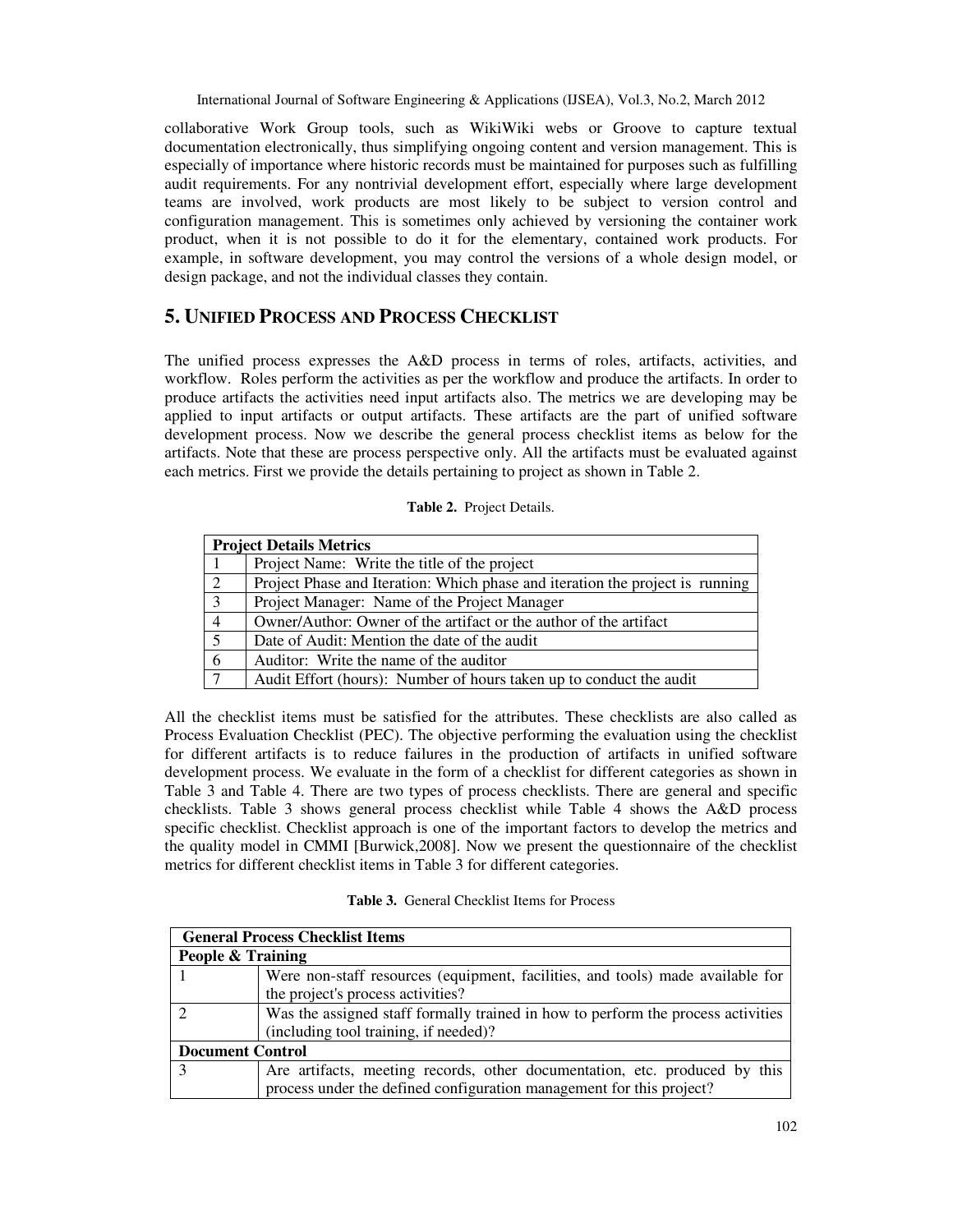collaborative Work Group tools, such as WikiWiki webs or Groove to capture textual documentation electronically, thus simplifying ongoing content and version management. This is especially of importance where historic records must be maintained for purposes such as fulfilling audit requirements. For any nontrivial development effort, especially where large development teams are involved, work products are most likely to be subject to version control and configuration management. This is sometimes only achieved by versioning the container work product, when it is not possible to do it for the elementary, contained work products. For example, in software development, you may control the versions of a whole design model, or design package, and not the individual classes they contain.

## **5. UNIFIED PROCESS AND PROCESS CHECKLIST**

The unified process expresses the A&D process in terms of roles, artifacts, activities, and workflow. Roles perform the activities as per the workflow and produce the artifacts. In order to produce artifacts the activities need input artifacts also. The metrics we are developing may be applied to input artifacts or output artifacts. These artifacts are the part of unified software development process. Now we describe the general process checklist items as below for the artifacts. Note that these are process perspective only. All the artifacts must be evaluated against each metrics. First we provide the details pertaining to project as shown in Table 2.

|  | Table 2. Project Details. |
|--|---------------------------|
|--|---------------------------|

| <b>Project Details Metrics</b> |                                                                               |
|--------------------------------|-------------------------------------------------------------------------------|
|                                | Project Name: Write the title of the project                                  |
| 2                              | Project Phase and Iteration: Which phase and iteration the project is running |
| $\overline{3}$                 | Project Manager: Name of the Project Manager                                  |
|                                | Owner/Author: Owner of the artifact or the author of the artifact             |
| 5 <sup>5</sup>                 | Date of Audit: Mention the date of the audit                                  |
| 6                              | Auditor: Write the name of the auditor                                        |
|                                | Audit Effort (hours): Number of hours taken up to conduct the audit           |

All the checklist items must be satisfied for the attributes. These checklists are also called as Process Evaluation Checklist (PEC). The objective performing the evaluation using the checklist for different artifacts is to reduce failures in the production of artifacts in unified software development process. We evaluate in the form of a checklist for different categories as shown in Table 3 and Table 4. There are two types of process checklists. There are general and specific checklists. Table 3 shows general process checklist while Table 4 shows the A&D process specific checklist. Checklist approach is one of the important factors to develop the metrics and the quality model in CMMI [Burwick,2008]. Now we present the questionnaire of the checklist metrics for different checklist items in Table 3 for different categories.

**Table 3.** General Checklist Items for Process

| <b>General Process Checklist Items</b> |                                                                                  |  |
|----------------------------------------|----------------------------------------------------------------------------------|--|
| <b>People &amp; Training</b>           |                                                                                  |  |
|                                        | Were non-staff resources (equipment, facilities, and tools) made available for   |  |
|                                        | the project's process activities?                                                |  |
|                                        | Was the assigned staff formally trained in how to perform the process activities |  |
|                                        | (including tool training, if needed)?                                            |  |
| <b>Document Control</b>                |                                                                                  |  |
| 3                                      | Are artifacts, meeting records, other documentation, etc. produced by this       |  |
|                                        | process under the defined configuration management for this project?             |  |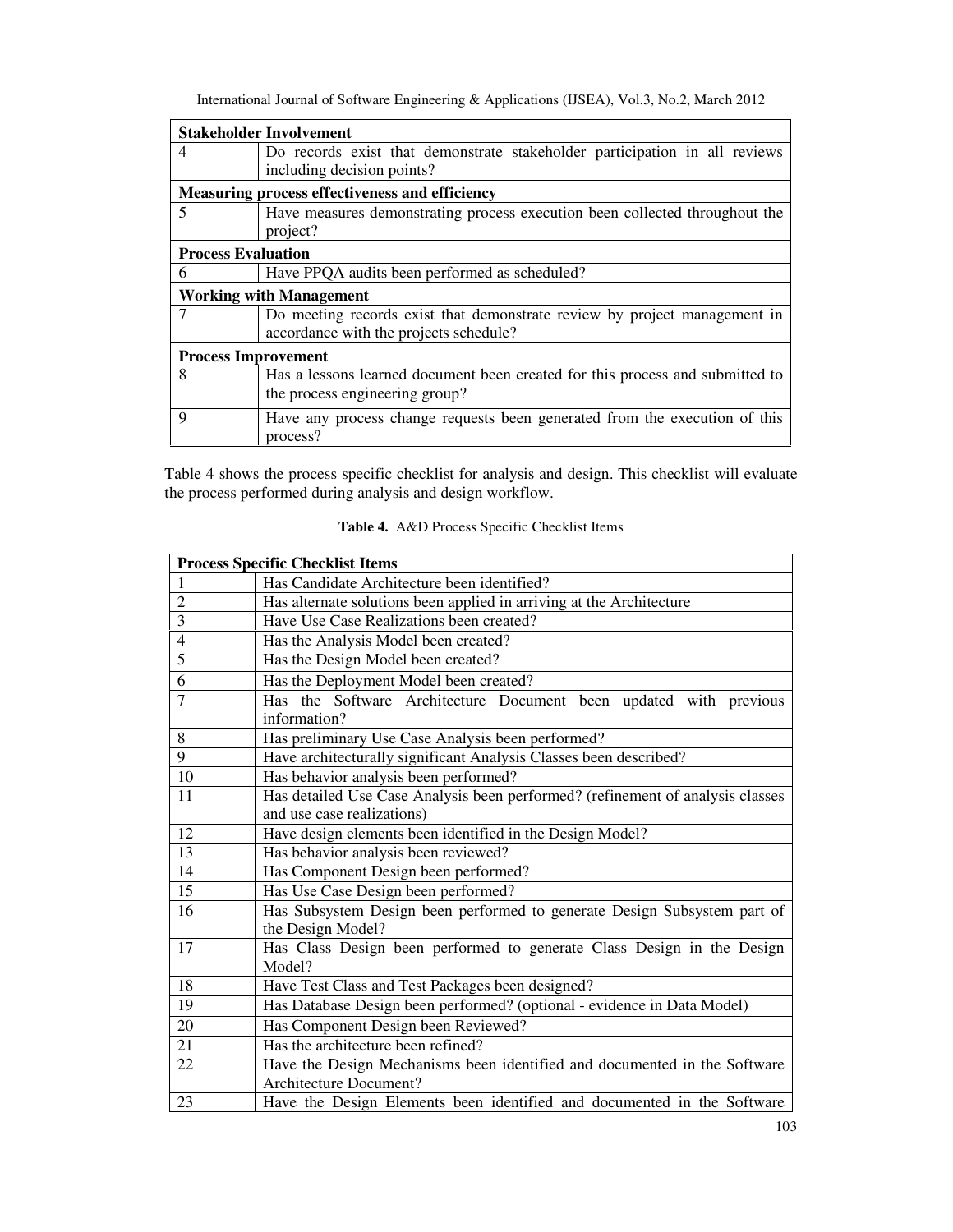| <b>Stakeholder Involvement</b> |                                                                                                                     |  |
|--------------------------------|---------------------------------------------------------------------------------------------------------------------|--|
| $\overline{4}$                 | Do records exist that demonstrate stakeholder participation in all reviews<br>including decision points?            |  |
|                                | Measuring process effectiveness and efficiency                                                                      |  |
| 5                              | Have measures demonstrating process execution been collected throughout the<br>project?                             |  |
| <b>Process Evaluation</b>      |                                                                                                                     |  |
| 6                              | Have PPQA audits been performed as scheduled?                                                                       |  |
| <b>Working with Management</b> |                                                                                                                     |  |
| 7                              | Do meeting records exist that demonstrate review by project management in<br>accordance with the projects schedule? |  |
| <b>Process Improvement</b>     |                                                                                                                     |  |
| 8                              | Has a lessons learned document been created for this process and submitted to<br>the process engineering group?     |  |
| 9                              | Have any process change requests been generated from the execution of this<br>process?                              |  |

Table 4 shows the process specific checklist for analysis and design. This checklist will evaluate the process performed during analysis and design workflow.

|                | <b>Process Specific Checklist Items</b>                                                             |  |  |
|----------------|-----------------------------------------------------------------------------------------------------|--|--|
| 1              | Has Candidate Architecture been identified?                                                         |  |  |
| $\overline{2}$ | Has alternate solutions been applied in arriving at the Architecture                                |  |  |
| 3              | Have Use Case Realizations been created?                                                            |  |  |
| $\overline{4}$ | Has the Analysis Model been created?                                                                |  |  |
| $\overline{5}$ | Has the Design Model been created?                                                                  |  |  |
| 6              | Has the Deployment Model been created?                                                              |  |  |
| 7              | Has the Software Architecture Document been updated with previous<br>information?                   |  |  |
| 8              | Has preliminary Use Case Analysis been performed?                                                   |  |  |
| 9              | Have architecturally significant Analysis Classes been described?                                   |  |  |
| 10             | Has behavior analysis been performed?                                                               |  |  |
| 11             | Has detailed Use Case Analysis been performed? (refinement of analysis classes                      |  |  |
|                | and use case realizations)                                                                          |  |  |
| 12             | Have design elements been identified in the Design Model?                                           |  |  |
| 13             | Has behavior analysis been reviewed?                                                                |  |  |
| 14             | Has Component Design been performed?                                                                |  |  |
| 15             | Has Use Case Design been performed?                                                                 |  |  |
| 16             | Has Subsystem Design been performed to generate Design Subsystem part of                            |  |  |
|                | the Design Model?                                                                                   |  |  |
| 17             | Has Class Design been performed to generate Class Design in the Design<br>Model?                    |  |  |
| 18             | Have Test Class and Test Packages been designed?                                                    |  |  |
| 19             | Has Database Design been performed? (optional - evidence in Data Model)                             |  |  |
| 20             | Has Component Design been Reviewed?                                                                 |  |  |
| 21             | Has the architecture been refined?                                                                  |  |  |
| 22             | Have the Design Mechanisms been identified and documented in the Software<br>Architecture Document? |  |  |
| 23             | Have the Design Elements been identified and documented in the Software                             |  |  |

| Table 4. A&D Process Specific Checklist Items |  |
|-----------------------------------------------|--|
|-----------------------------------------------|--|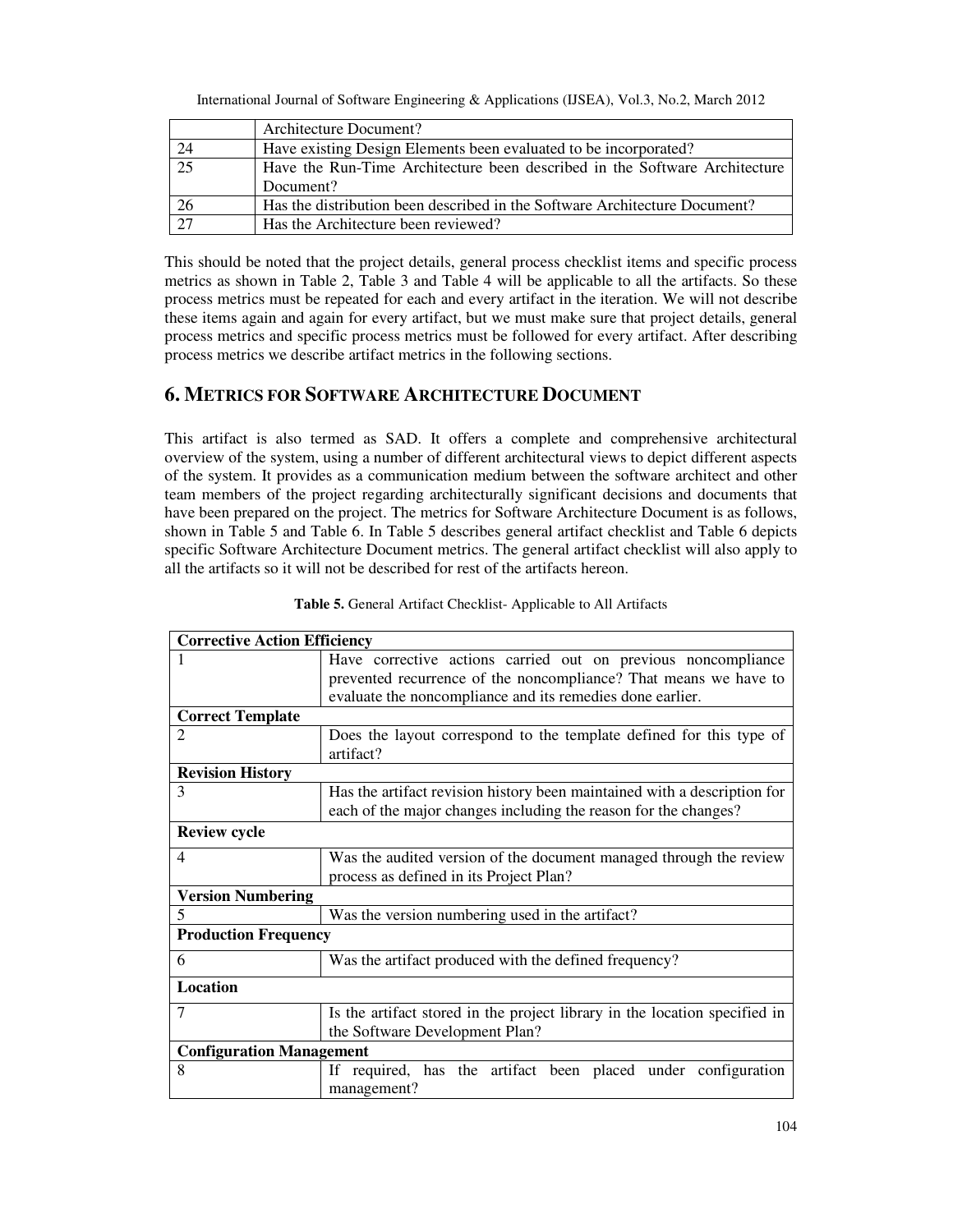|     | $m_{\rm{c}}$ and $m_{\rm{c}}$ and $m_{\rm{c}}$ and $m_{\rm{c}}$ and $m_{\rm{c}}$ and $m_{\rm{c}}$ and $m_{\rm{c}}$ and $m_{\rm{c}}$ and $m_{\rm{c}}$ and $m_{\rm{c}}$ and $m_{\rm{c}}$ and $m_{\rm{c}}$ and $m_{\rm{c}}$ and $m_{\rm{c}}$ and $m_{\rm{c}}$ and $m_{\rm{c}}$ a |  |  |
|-----|-------------------------------------------------------------------------------------------------------------------------------------------------------------------------------------------------------------------------------------------------------------------------------|--|--|
|     | Architecture Document?                                                                                                                                                                                                                                                        |  |  |
| -24 | Have existing Design Elements been evaluated to be incorporated?                                                                                                                                                                                                              |  |  |
|     | Have the Run-Time Architecture been described in the Software Architecture                                                                                                                                                                                                    |  |  |

| - 24                                                                             | Have existing Design Elements been evaluated to be incorporated?           |  |
|----------------------------------------------------------------------------------|----------------------------------------------------------------------------|--|
| 25<br>Have the Run-Time Architecture been described in the Software Architecture |                                                                            |  |
|                                                                                  | Document?                                                                  |  |
| 26                                                                               | Has the distribution been described in the Software Architecture Document? |  |
| 27                                                                               | Has the Architecture been reviewed?                                        |  |

This should be noted that the project details, general process checklist items and specific process metrics as shown in Table 2, Table 3 and Table 4 will be applicable to all the artifacts. So these process metrics must be repeated for each and every artifact in the iteration. We will not describe these items again and again for every artifact, but we must make sure that project details, general process metrics and specific process metrics must be followed for every artifact. After describing process metrics we describe artifact metrics in the following sections.

# **6. METRICS FOR SOFTWARE ARCHITECTURE DOCUMENT**

This artifact is also termed as SAD. It offers a complete and comprehensive architectural overview of the system, using a number of different architectural views to depict different aspects of the system. It provides as a communication medium between the software architect and other team members of the project regarding architecturally significant decisions and documents that have been prepared on the project. The metrics for Software Architecture Document is as follows, shown in Table 5 and Table 6. In Table 5 describes general artifact checklist and Table 6 depicts specific Software Architecture Document metrics. The general artifact checklist will also apply to all the artifacts so it will not be described for rest of the artifacts hereon.

|                                 | <b>Corrective Action Efficiency</b>                                                                                                         |  |
|---------------------------------|---------------------------------------------------------------------------------------------------------------------------------------------|--|
|                                 | Have corrective actions carried out on previous noncompliance                                                                               |  |
|                                 | prevented recurrence of the noncompliance? That means we have to                                                                            |  |
|                                 | evaluate the noncompliance and its remedies done earlier.                                                                                   |  |
| <b>Correct Template</b>         |                                                                                                                                             |  |
| $\mathfrak{D}$                  | Does the layout correspond to the template defined for this type of<br>artifact?                                                            |  |
| <b>Revision History</b>         |                                                                                                                                             |  |
| 3                               | Has the artifact revision history been maintained with a description for<br>each of the major changes including the reason for the changes? |  |
| <b>Review cycle</b>             |                                                                                                                                             |  |
| 4                               | Was the audited version of the document managed through the review                                                                          |  |
|                                 | process as defined in its Project Plan?                                                                                                     |  |
| <b>Version Numbering</b>        |                                                                                                                                             |  |
| 5                               | Was the version numbering used in the artifact?                                                                                             |  |
| <b>Production Frequency</b>     |                                                                                                                                             |  |
| 6                               | Was the artifact produced with the defined frequency?                                                                                       |  |
| <b>Location</b>                 |                                                                                                                                             |  |
| $\tau$                          | Is the artifact stored in the project library in the location specified in                                                                  |  |
|                                 | the Software Development Plan?                                                                                                              |  |
| <b>Configuration Management</b> |                                                                                                                                             |  |
| 8                               | If required, has the artifact been placed under configuration<br>management?                                                                |  |

|  | Table 5. General Artifact Checklist-Applicable to All Artifacts |
|--|-----------------------------------------------------------------|
|--|-----------------------------------------------------------------|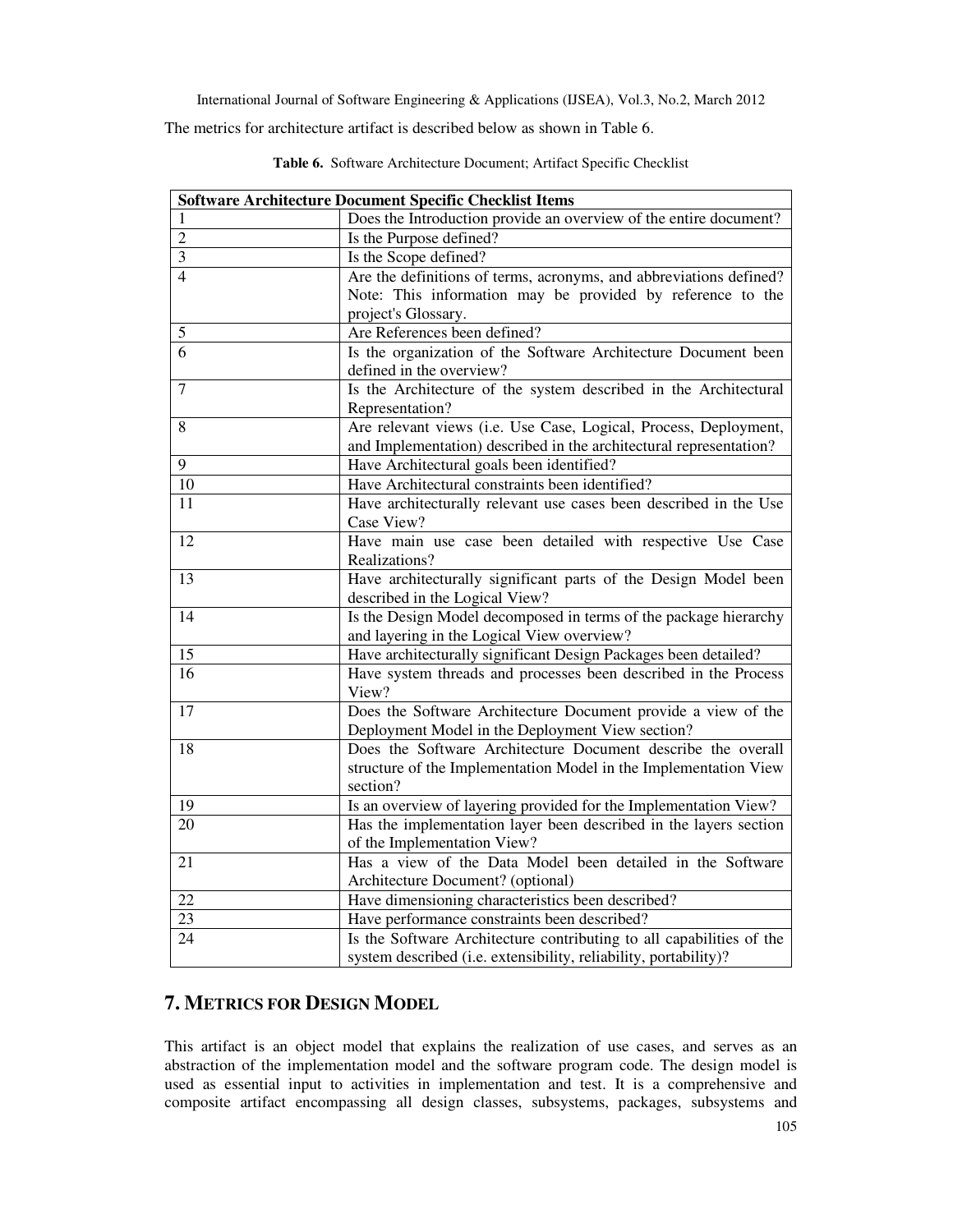The metrics for architecture artifact is described below as shown in Table 6.

| <b>Software Architecture Document Specific Checklist Items</b> |                                                                      |  |
|----------------------------------------------------------------|----------------------------------------------------------------------|--|
| 1                                                              | Does the Introduction provide an overview of the entire document?    |  |
| $\overline{2}$                                                 | Is the Purpose defined?                                              |  |
| $\overline{3}$                                                 | Is the Scope defined?                                                |  |
| $\overline{4}$                                                 | Are the definitions of terms, acronyms, and abbreviations defined?   |  |
|                                                                | Note: This information may be provided by reference to the           |  |
|                                                                | project's Glossary.                                                  |  |
| $\sqrt{5}$                                                     | Are References been defined?                                         |  |
| $\overline{6}$                                                 | Is the organization of the Software Architecture Document been       |  |
|                                                                | defined in the overview?                                             |  |
| 7                                                              | Is the Architecture of the system described in the Architectural     |  |
|                                                                | Representation?                                                      |  |
| $\,8\,$                                                        | Are relevant views (i.e. Use Case, Logical, Process, Deployment,     |  |
|                                                                | and Implementation) described in the architectural representation?   |  |
| 9                                                              | Have Architectural goals been identified?                            |  |
| 10                                                             | Have Architectural constraints been identified?                      |  |
| 11                                                             | Have architecturally relevant use cases been described in the Use    |  |
|                                                                | Case View?                                                           |  |
| 12                                                             | Have main use case been detailed with respective Use Case            |  |
|                                                                | Realizations?                                                        |  |
| 13                                                             | Have architecturally significant parts of the Design Model been      |  |
|                                                                | described in the Logical View?                                       |  |
| 14                                                             | Is the Design Model decomposed in terms of the package hierarchy     |  |
|                                                                | and layering in the Logical View overview?                           |  |
| 15                                                             | Have architecturally significant Design Packages been detailed?      |  |
| 16                                                             | Have system threads and processes been described in the Process      |  |
|                                                                | View?                                                                |  |
| 17                                                             | Does the Software Architecture Document provide a view of the        |  |
|                                                                | Deployment Model in the Deployment View section?                     |  |
| 18                                                             | Does the Software Architecture Document describe the overall         |  |
|                                                                | structure of the Implementation Model in the Implementation View     |  |
|                                                                | section?                                                             |  |
| 19                                                             | Is an overview of layering provided for the Implementation View?     |  |
| 20                                                             | Has the implementation layer been described in the layers section    |  |
|                                                                | of the Implementation View?                                          |  |
| 21                                                             | Has a view of the Data Model been detailed in the Software           |  |
|                                                                | Architecture Document? (optional)                                    |  |
| $22\,$                                                         | Have dimensioning characteristics been described?                    |  |
| 23                                                             | Have performance constraints been described?                         |  |
| 24                                                             | Is the Software Architecture contributing to all capabilities of the |  |
|                                                                | system described (i.e. extensibility, reliability, portability)?     |  |

**Table 6.** Software Architecture Document; Artifact Specific Checklist

## **7. METRICS FOR DESIGN MODEL**

This artifact is an object model that explains the realization of use cases, and serves as an abstraction of the implementation model and the software program code. The design model is used as essential input to activities in implementation and test. It is a comprehensive and composite artifact encompassing all design classes, subsystems, packages, subsystems and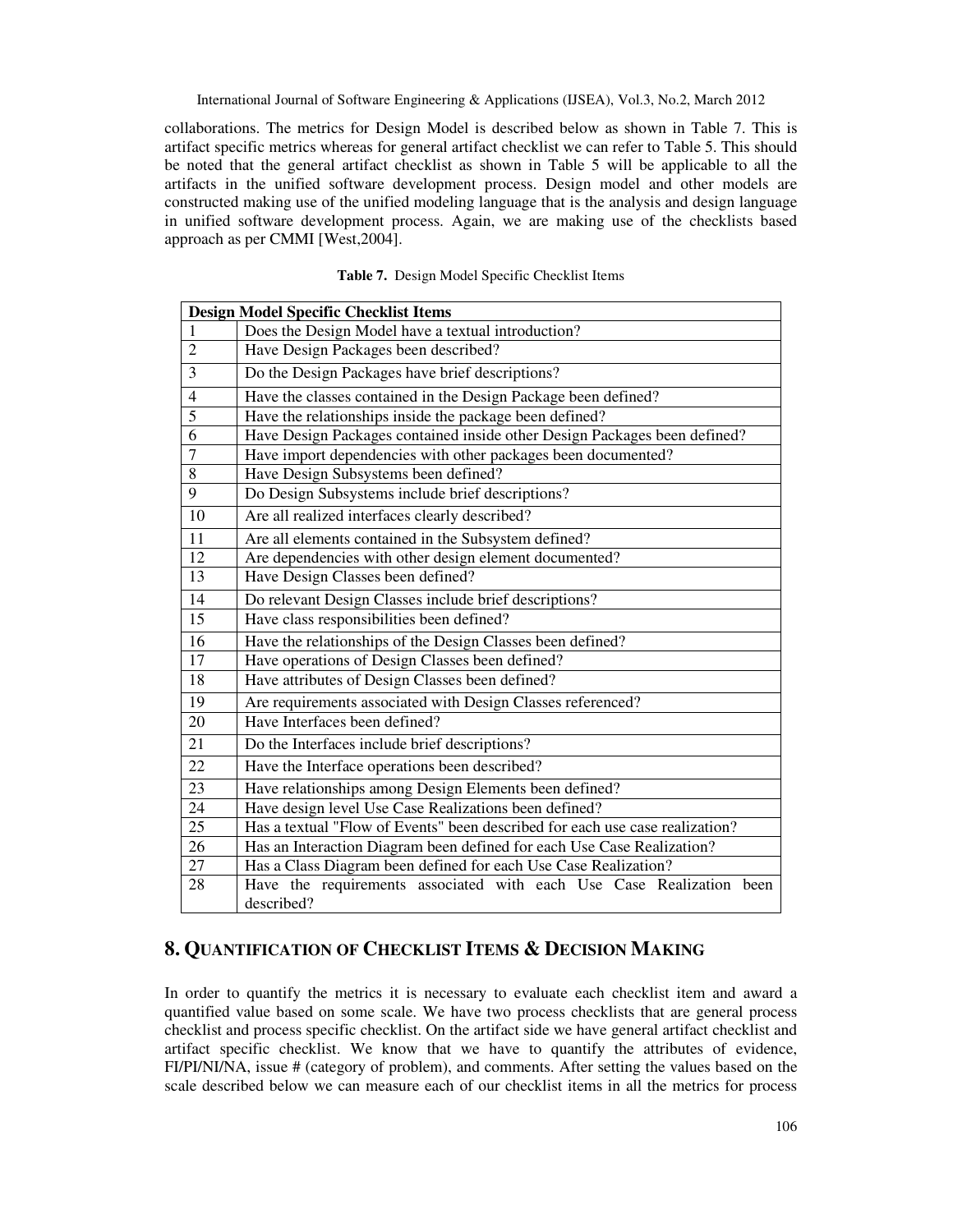collaborations. The metrics for Design Model is described below as shown in Table 7. This is artifact specific metrics whereas for general artifact checklist we can refer to Table 5. This should be noted that the general artifact checklist as shown in Table 5 will be applicable to all the artifacts in the unified software development process. Design model and other models are constructed making use of the unified modeling language that is the analysis and design language in unified software development process. Again, we are making use of the checklists based approach as per CMMI [West,2004].

| <b>Design Model Specific Checklist Items</b> |                                                                              |  |
|----------------------------------------------|------------------------------------------------------------------------------|--|
| 1                                            | Does the Design Model have a textual introduction?                           |  |
| $\overline{2}$                               | Have Design Packages been described?                                         |  |
| $\overline{3}$                               | Do the Design Packages have brief descriptions?                              |  |
| $\overline{4}$                               | Have the classes contained in the Design Package been defined?               |  |
| $\overline{5}$                               | Have the relationships inside the package been defined?                      |  |
| 6                                            | Have Design Packages contained inside other Design Packages been defined?    |  |
| $\overline{7}$                               | Have import dependencies with other packages been documented?                |  |
| 8                                            | Have Design Subsystems been defined?                                         |  |
| 9                                            | Do Design Subsystems include brief descriptions?                             |  |
| 10                                           | Are all realized interfaces clearly described?                               |  |
| $\overline{11}$                              | Are all elements contained in the Subsystem defined?                         |  |
| 12                                           | Are dependencies with other design element documented?                       |  |
| 13                                           | Have Design Classes been defined?                                            |  |
| 14                                           | Do relevant Design Classes include brief descriptions?                       |  |
| 15                                           | Have class responsibilities been defined?                                    |  |
| 16                                           | Have the relationships of the Design Classes been defined?                   |  |
| 17                                           | Have operations of Design Classes been defined?                              |  |
| 18                                           | Have attributes of Design Classes been defined?                              |  |
| $\overline{19}$                              | Are requirements associated with Design Classes referenced?                  |  |
| 20                                           | Have Interfaces been defined?                                                |  |
| 21                                           | Do the Interfaces include brief descriptions?                                |  |
| 22                                           | Have the Interface operations been described?                                |  |
| 23                                           | Have relationships among Design Elements been defined?                       |  |
| 24                                           | Have design level Use Case Realizations been defined?                        |  |
| 25                                           | Has a textual "Flow of Events" been described for each use case realization? |  |
| 26                                           | Has an Interaction Diagram been defined for each Use Case Realization?       |  |
| 27                                           | Has a Class Diagram been defined for each Use Case Realization?              |  |
| 28                                           | Have the requirements associated with each Use Case Realization been         |  |
|                                              | described?                                                                   |  |

# **8. QUANTIFICATION OF CHECKLIST ITEMS & DECISION MAKING**

In order to quantify the metrics it is necessary to evaluate each checklist item and award a quantified value based on some scale. We have two process checklists that are general process checklist and process specific checklist. On the artifact side we have general artifact checklist and artifact specific checklist. We know that we have to quantify the attributes of evidence, FI/PI/NI/NA, issue # (category of problem), and comments. After setting the values based on the scale described below we can measure each of our checklist items in all the metrics for process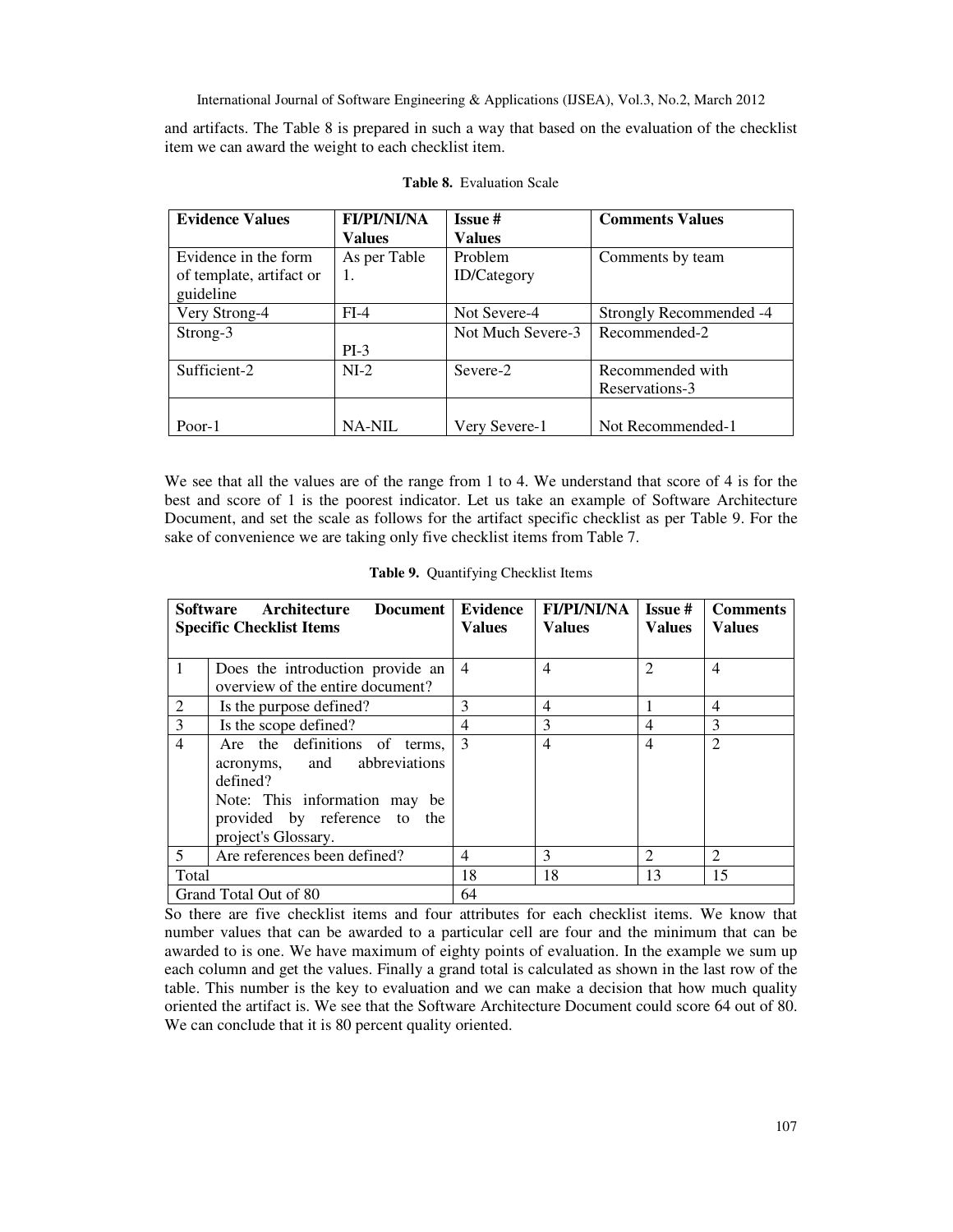and artifacts. The Table 8 is prepared in such a way that based on the evaluation of the checklist item we can award the weight to each checklist item.

| <b>Evidence Values</b>   | <b>FI/PI/NI/NA</b> | <b>Issue #</b>     | <b>Comments Values</b>  |
|--------------------------|--------------------|--------------------|-------------------------|
|                          | <b>Values</b>      | <b>Values</b>      |                         |
| Evidence in the form     | As per Table       | Problem            | Comments by team        |
| of template, artifact or |                    | <b>ID/Category</b> |                         |
| guideline                |                    |                    |                         |
| Very Strong-4            | $FI-4$             | Not Severe-4       | Strongly Recommended -4 |
| Strong-3                 |                    | Not Much Severe-3  | Recommended-2           |
|                          | $PI-3$             |                    |                         |
| Sufficient-2             | $NI-2$             | Severe-2           | Recommended with        |
|                          |                    |                    | Reservations-3          |
|                          |                    |                    |                         |
| Poor-1                   | <b>NA-NIL</b>      | Very Severe-1      | Not Recommended-1       |

|  | <b>Table 8.</b> Evaluation Scale |  |
|--|----------------------------------|--|
|--|----------------------------------|--|

We see that all the values are of the range from 1 to 4. We understand that score of 4 is for the best and score of 1 is the poorest indicator. Let us take an example of Software Architecture Document, and set the scale as follows for the artifact specific checklist as per Table 9. For the sake of convenience we are taking only five checklist items from Table 7.

|                                 | Software Architecture Document   | <b>Evidence</b> | <b>FI/PI/NI/NA</b> | <b>Issue #</b> | <b>Comments</b> |
|---------------------------------|----------------------------------|-----------------|--------------------|----------------|-----------------|
| <b>Specific Checklist Items</b> |                                  | <b>Values</b>   | <b>Values</b>      | <b>Values</b>  | <b>Values</b>   |
|                                 |                                  |                 |                    |                |                 |
| 1                               | Does the introduction provide an | $\overline{4}$  | 4                  | $\mathfrak{D}$ | 4               |
|                                 | overview of the entire document? |                 |                    |                |                 |
| 2                               | Is the purpose defined?          | 3               | 4                  |                | $\overline{4}$  |
| 3                               | Is the scope defined?            | 4               | 3                  | 4              | 3               |
| $\overline{4}$                  | Are the definitions of terms.    | 3               | 4                  | $\overline{4}$ | $\overline{2}$  |
|                                 | acronyms, and abbreviations      |                 |                    |                |                 |
|                                 | defined?                         |                 |                    |                |                 |
|                                 | Note: This information may be    |                 |                    |                |                 |
|                                 | provided by reference to the     |                 |                    |                |                 |
|                                 | project's Glossary.              |                 |                    |                |                 |
| 5                               | Are references been defined?     | 4               | 3                  | $\mathfrak{D}$ | $\mathfrak{D}$  |
| Total                           |                                  | 18              | 18                 | 13             | 15              |
| Grand Total Out of 80           |                                  | 64              |                    |                |                 |

|  |  | Table 9. Quantifying Checklist Items |
|--|--|--------------------------------------|
|--|--|--------------------------------------|

So there are five checklist items and four attributes for each checklist items. We know that number values that can be awarded to a particular cell are four and the minimum that can be awarded to is one. We have maximum of eighty points of evaluation. In the example we sum up each column and get the values. Finally a grand total is calculated as shown in the last row of the table. This number is the key to evaluation and we can make a decision that how much quality oriented the artifact is. We see that the Software Architecture Document could score 64 out of 80. We can conclude that it is 80 percent quality oriented.